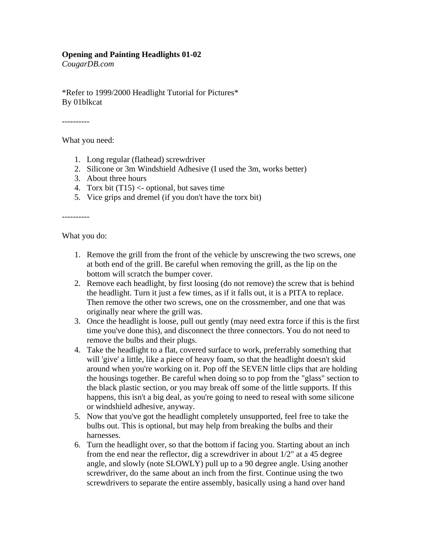## **Opening and Painting Headlights 01-02**

*CougarDB.com*

\*Refer to 1999/2000 Headlight Tutorial for Pictures\* By 01blkcat

----------

What you need:

- 1. Long regular (flathead) screwdriver
- 2. Silicone or 3m Windshield Adhesive (I used the 3m, works better)
- 3. About three hours
- 4. Torx bit  $(T15) <$  optional, but saves time
- 5. Vice grips and dremel (if you don't have the torx bit)

----------

What you do:

- 1. Remove the grill from the front of the vehicle by unscrewing the two screws, one at both end of the grill. Be careful when removing the grill, as the lip on the bottom will scratch the bumper cover.
- 2. Remove each headlight, by first loosing (do not remove) the screw that is behind the headlight. Turn it just a few times, as if it falls out, it is a PITA to replace. Then remove the other two screws, one on the crossmember, and one that was originally near where the grill was.
- 3. Once the headlight is loose, pull out gently (may need extra force if this is the first time you've done this), and disconnect the three connectors. You do not need to remove the bulbs and their plugs.
- 4. Take the headlight to a flat, covered surface to work, preferrably something that will 'give' a little, like a piece of heavy foam, so that the headlight doesn't skid around when you're working on it. Pop off the SEVEN little clips that are holding the housings together. Be careful when doing so to pop from the "glass" section to the black plastic section, or you may break off some of the little supports. If this happens, this isn't a big deal, as you're going to need to reseal with some silicone or windshield adhesive, anyway.
- 5. Now that you've got the headlight completely unsupported, feel free to take the bulbs out. This is optional, but may help from breaking the bulbs and their harnesses.
- 6. Turn the headlight over, so that the bottom if facing you. Starting about an inch from the end near the reflector, dig a screwdriver in about 1/2" at a 45 degree angle, and slowly (note SLOWLY) pull up to a 90 degree angle. Using another screwdriver, do the same about an inch from the first. Continue using the two screwdrivers to separate the entire assembly, basically using a hand over hand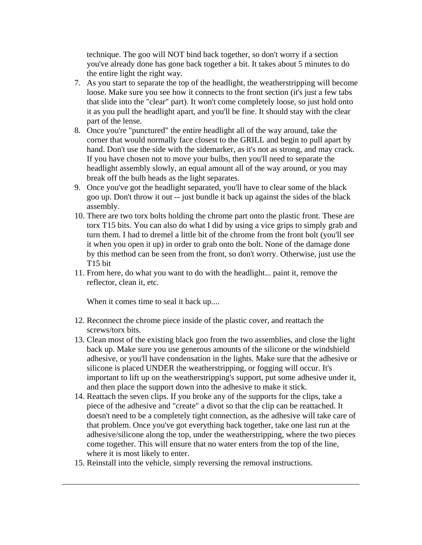technique. The goo will NOT bind back together, so don't worry if a section you've already done has gone back together a bit. It takes about 5 minutes to do the entire light the right way.

- 7. As you start to separate the top of the headlight, the weatherstripping will become loose. Make sure you see how it connects to the front section (it's just a few tabs that slide into the "clear" part). It won't come completely loose, so just hold onto it as you pull the headlight apart, and you'll be fine. It should stay with the clear part of the lense.
- 8. Once you're "punctured" the entire headlight all of the way around, take the corner that would normally face closest to the GRILL and begin to pull apart by hand. Don't use the side with the sidemarker, as it's not as strong, and may crack. If you have chosen not to move your bulbs, then you'll need to separate the headlight assembly slowly, an equal amount all of the way around, or you may break off the bulb heads as the light separates.
- 9. Once you've got the headlight separated, you'll have to clear some of the black goo up. Don't throw it out -- just bundle it back up against the sides of the black assembly.
- 10. There are two torx bolts holding the chrome part onto the plastic front. These are torx T15 bits. You can also do what I did by using a vice grips to simply grab and turn them. I had to dremel a little bit of the chrome from the front bolt (you'll see it when you open it up) in order to grab onto the bolt. None of the damage done by this method can be seen from the front, so don't worry. Otherwise, just use the T15 bit
- 11. From here, do what you want to do with the headlight... paint it, remove the reflector, clean it, etc.

When it comes time to seal it back up....

- 12. Reconnect the chrome piece inside of the plastic cover, and reattach the screws/torx bits.
- 13. Clean most of the existing black goo from the two assemblies, and close the light back up. Make sure you use generous amounts of the silicone or the windshield adhesive, or you'll have condensation in the lights. Make sure that the adhesive or silicone is placed UNDER the weatherstripping, or fogging will occur. It's important to lift up on the weatherstripping's support, put some adhesive under it, and then place the support down into the adhesive to make it stick.
- 14. Reattach the seven clips. If you broke any of the supports for the clips, take a piece of the adhesive and "create" a divot so that the clip can be reattached. It doesn't need to be a completely tight connection, as the adhesive will take care of that problem. Once you've got everything back together, take one last run at the adhesive/silicone along the top, under the weatherstripping, where the two pieces come together. This will ensure that no water enters from the top of the line, where it is most likely to enter.
- 15. Reinstall into the vehicle, simply reversing the removal instructions.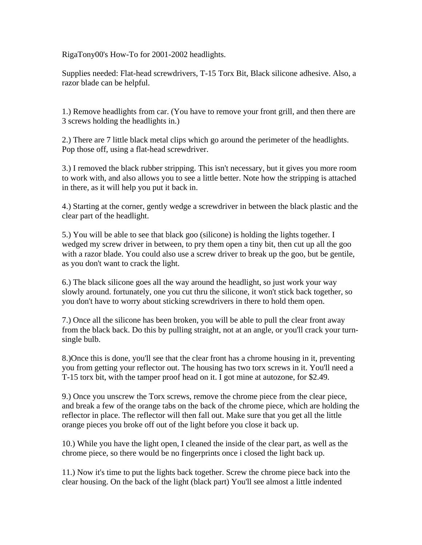RigaTony00's How-To for 2001-2002 headlights.

Supplies needed: Flat-head screwdrivers, T-15 Torx Bit, Black silicone adhesive. Also, a razor blade can be helpful.

1.) Remove headlights from car. (You have to remove your front grill, and then there are 3 screws holding the headlights in.)

2.) There are 7 little black metal clips which go around the perimeter of the headlights. Pop those off, using a flat-head screwdriver.

3.) I removed the black rubber stripping. This isn't necessary, but it gives you more room to work with, and also allows you to see a little better. Note how the stripping is attached in there, as it will help you put it back in.

4.) Starting at the corner, gently wedge a screwdriver in between the black plastic and the clear part of the headlight.

5.) You will be able to see that black goo (silicone) is holding the lights together. I wedged my screw driver in between, to pry them open a tiny bit, then cut up all the goo with a razor blade. You could also use a screw driver to break up the goo, but be gentile, as you don't want to crack the light.

6.) The black silicone goes all the way around the headlight, so just work your way slowly around. fortunately, one you cut thru the silicone, it won't stick back together, so you don't have to worry about sticking screwdrivers in there to hold them open.

7.) Once all the silicone has been broken, you will be able to pull the clear front away from the black back. Do this by pulling straight, not at an angle, or you'll crack your turnsingle bulb.

8.)Once this is done, you'll see that the clear front has a chrome housing in it, preventing you from getting your reflector out. The housing has two torx screws in it. You'll need a T-15 torx bit, with the tamper proof head on it. I got mine at autozone, for \$2.49.

9.) Once you unscrew the Torx screws, remove the chrome piece from the clear piece, and break a few of the orange tabs on the back of the chrome piece, which are holding the reflector in place. The reflector will then fall out. Make sure that you get all the little orange pieces you broke off out of the light before you close it back up.

10.) While you have the light open, I cleaned the inside of the clear part, as well as the chrome piece, so there would be no fingerprints once i closed the light back up.

11.) Now it's time to put the lights back together. Screw the chrome piece back into the clear housing. On the back of the light (black part) You'll see almost a little indented